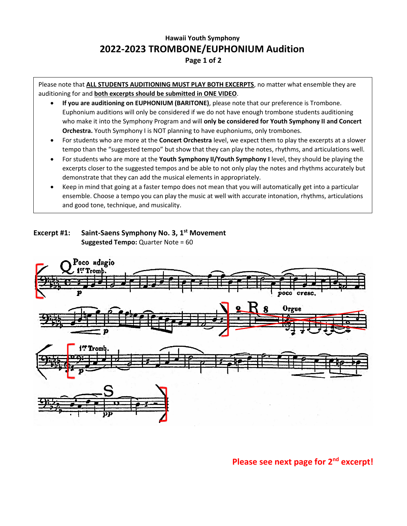## **Hawaii Youth Symphony 2022-2023 TROMBONE/EUPHONIUM Audition**

## **Page 1 of 2**

Please note that **ALL STUDENTS AUDITIONING MUST PLAY BOTH EXCERPTS**, no matter what ensemble they are auditioning for and **both excerpts should be submitted in ONE VIDEO**.

- **If you are auditioning on EUPHONIUM (BARITONE)**, please note that our preference is Trombone. Euphonium auditions will only be considered if we do not have enough trombone students auditioning who make it into the Symphony Program and will **only be considered for Youth Symphony II and Concert Orchestra.** Youth Symphony I is NOT planning to have euphoniums, only trombones.
- For students who are more at the **Concert Orchestra** level, we expect them to play the excerpts at a slower tempo than the "suggested tempo" but show that they can play the notes, rhythms, and articulations well.
- For students who are more at the **Youth Symphony II/Youth Symphony I** level, they should be playing the excerpts closer to the suggested tempos and be able to not only play the notes and rhythms accurately but demonstrate that they can add the musical elements in appropriately.
- Keep in mind that going at a faster tempo does not mean that you will automatically get into a particular ensemble. Choose a tempo you can play the music at well with accurate intonation, rhythms, articulations and good tone, technique, and musicality.

## **Excerpt #1: Saint-Saens Symphony No. 3, 1 st Movement Suggested Tempo:** Quarter Note = 60



**Please see next page for 2nd excerpt!**